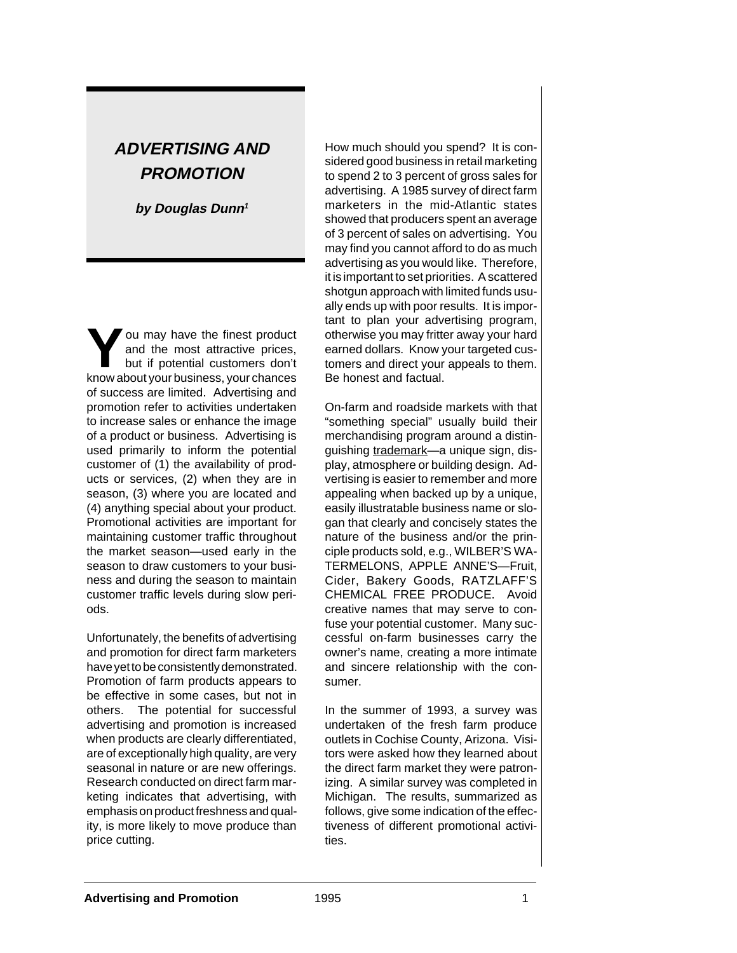# **ADVERTISING AND PROMOTION**

**by Douglas Dunn<sup>1</sup>**

**You may have the finest product<br>
and the most attractive prices,<br>
but if potential customers don't<br>
know about your business your chances** and the most attractive prices, know about your business, your chances of success are limited. Advertising and promotion refer to activities undertaken to increase sales or enhance the image of a product or business. Advertising is used primarily to inform the potential customer of (1) the availability of products or services, (2) when they are in season, (3) where you are located and (4) anything special about your product. Promotional activities are important for maintaining customer traffic throughout the market season—used early in the season to draw customers to your business and during the season to maintain customer traffic levels during slow periods.

Unfortunately, the benefits of advertising and promotion for direct farm marketers have yet to be consistently demonstrated. Promotion of farm products appears to be effective in some cases, but not in others. The potential for successful advertising and promotion is increased when products are clearly differentiated, are of exceptionally high quality, are very seasonal in nature or are new offerings. Research conducted on direct farm marketing indicates that advertising, with emphasis on product freshness and quality, is more likely to move produce than price cutting.

How much should you spend? It is considered good business in retail marketing to spend 2 to 3 percent of gross sales for advertising. A 1985 survey of direct farm marketers in the mid-Atlantic states showed that producers spent an average of 3 percent of sales on advertising. You may find you cannot afford to do as much advertising as you would like. Therefore, it is important to set priorities. A scattered shotgun approach with limited funds usually ends up with poor results. It is important to plan your advertising program, otherwise you may fritter away your hard earned dollars. Know your targeted customers and direct your appeals to them. Be honest and factual.

On-farm and roadside markets with that "something special" usually build their merchandising program around a distinguishing trademark—a unique sign, display, atmosphere or building design. Advertising is easier to remember and more appealing when backed up by a unique, easily illustratable business name or slogan that clearly and concisely states the nature of the business and/or the principle products sold, e.g., WILBER'S WA-TERMELONS, APPLE ANNE'S—Fruit, Cider, Bakery Goods, RATZLAFF'S CHEMICAL FREE PRODUCE. Avoid creative names that may serve to confuse your potential customer. Many successful on-farm businesses carry the owner's name, creating a more intimate and sincere relationship with the consumer.

In the summer of 1993, a survey was undertaken of the fresh farm produce outlets in Cochise County, Arizona. Visitors were asked how they learned about the direct farm market they were patronizing. A similar survey was completed in Michigan. The results, summarized as follows, give some indication of the effectiveness of different promotional activities.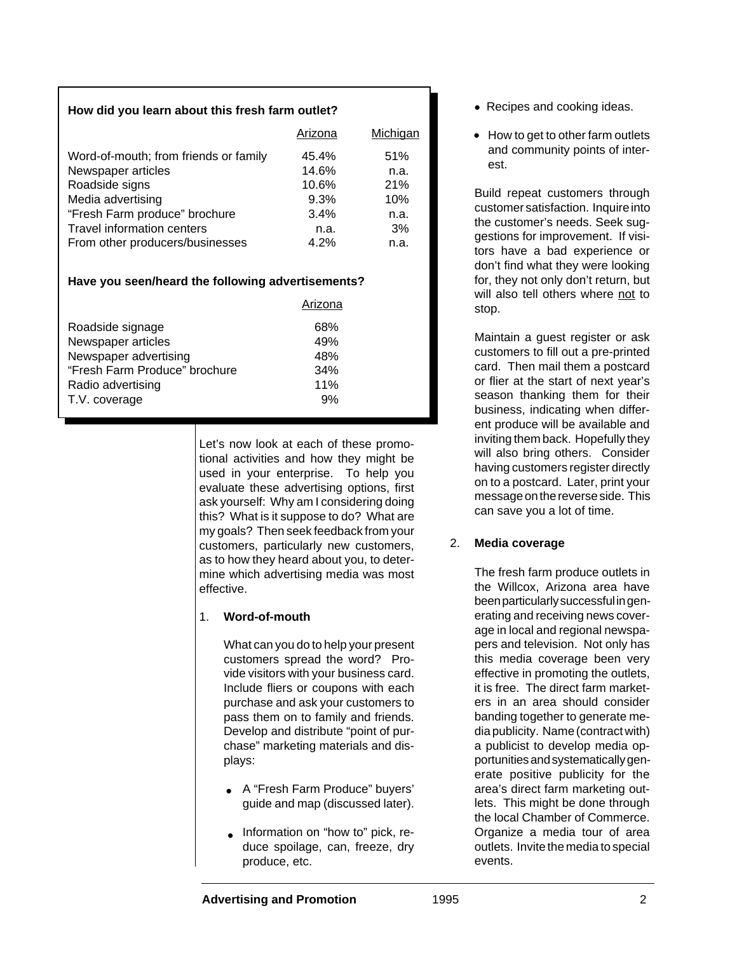### **How did you learn about this fresh farm outlet?**

|                                       | Arizona | Michigan |
|---------------------------------------|---------|----------|
| Word-of-mouth; from friends or family | 45.4%   | 51%      |
| Newspaper articles                    | 14.6%   | n.a.     |
| Roadside signs                        | 10.6%   | 21%      |
| Media advertising                     | 9.3%    | 10%      |
| "Fresh Farm produce" brochure         | 3.4%    | n.a.     |
| Travel information centers            | n.a.    | 3%       |
| From other producers/businesses       | 4.2%    | n.a.     |

### **Have you seen/heard the following advertisements?**

|                               | Arizona |  |
|-------------------------------|---------|--|
| Roadside signage              | 68%     |  |
| Newspaper articles            | 49%     |  |
| Newspaper advertising         | 48%     |  |
| "Fresh Farm Produce" brochure | 34%     |  |
| Radio advertising             | 11%     |  |
| T.V. coverage                 | 9%      |  |

Let's now look at each of these promotional activities and how they might be used in your enterprise. To help you evaluate these advertising options, first ask yourself: Why am I considering doing this? What is it suppose to do? What are my goals? Then seek feedback from your customers, particularly new customers, as to how they heard about you, to determine which advertising media was most effective.

### 1. **Word-of-mouth**

What can you do to help your present customers spread the word? Provide visitors with your business card. Include fliers or coupons with each purchase and ask your customers to pass them on to family and friends. Develop and distribute "point of purchase" marketing materials and displays:

- A "Fresh Farm Produce" buyers' **•** guide and map (discussed later).
- Information on "how to" pick, reduce spoilage, can, freeze, dry produce, etc.
- Recipes and cooking ideas. **•**
- How to get to other farm outlets **•** and community points of interest.

Build repeat customers through customer satisfaction. Inquire into the customer's needs. Seek suggestions for improvement. If visitors have a bad experience or don't find what they were looking for, they not only don't return, but will also tell others where not to stop.

Maintain a guest register or ask customers to fill out a pre-printed card. Then mail them a postcard or flier at the start of next year's season thanking them for their business, indicating when different produce will be available and inviting them back. Hopefully they will also bring others. Consider having customers register directly on to a postcard. Later, print your message on the reverse side. This can save you a lot of time.

### 2. **Media coverage**

The fresh farm produce outlets in the Willcox, Arizona area have been particularly successful in generating and receiving news coverage in local and regional newspapers and television. Not only has this media coverage been very effective in promoting the outlets, it is free. The direct farm marketers in an area should consider banding together to generate media publicity. Name (contract with) a publicist to develop media opportunities and systematically generate positive publicity for the area's direct farm marketing outlets. This might be done through the local Chamber of Commerce. Organize a media tour of area outlets. Invite the media to special events.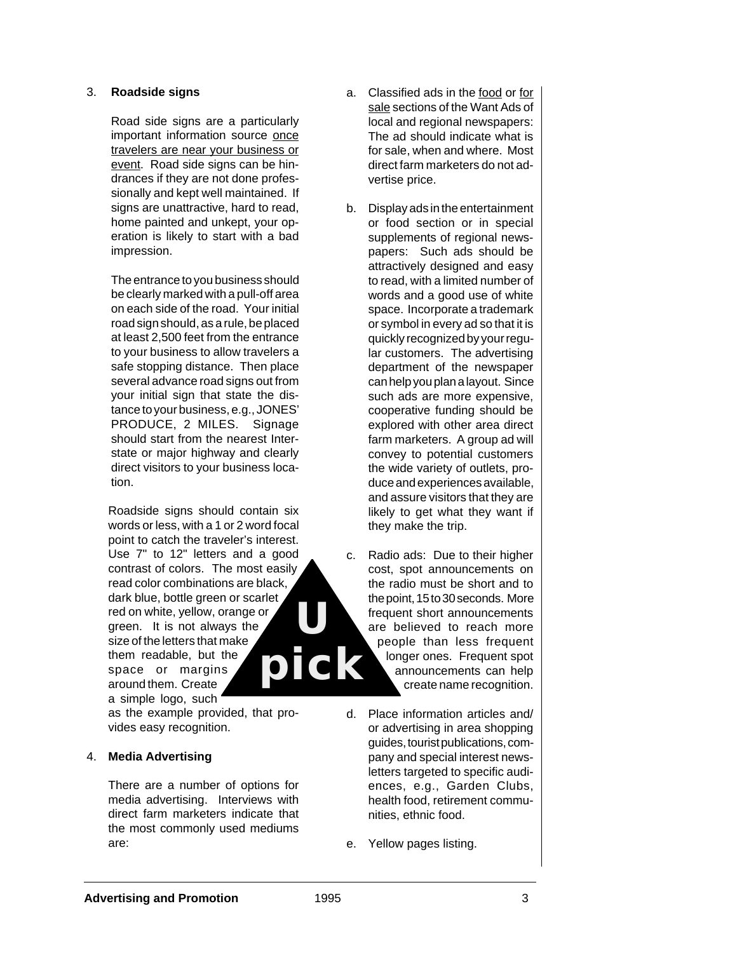### 3. **Roadside signs**

Road side signs are a particularly important information source once travelers are near your business or event. Road side signs can be hindrances if they are not done professionally and kept well maintained. If signs are unattractive, hard to read, home painted and unkept, your operation is likely to start with a bad impression.

The entrance to you business should be clearly marked with a pull-off area on each side of the road. Your initial road sign should, as a rule, be placed at least 2,500 feet from the entrance to your business to allow travelers a safe stopping distance. Then place several advance road signs out from your initial sign that state the distance to your business, e.g., JONES' PRODUCE, 2 MILES. Signage should start from the nearest Interstate or major highway and clearly direct visitors to your business location.

Roadside signs should contain six words or less, with a 1 or 2 word focal point to catch the traveler's interest. Use 7" to 12" letters and a good contrast of colors. The most easily read color combinations are black, dark blue, bottle green or scarlet red on white, yellow, orange or green. It is not always the size of the letters that make them readable, but the space or margins around them. Create a simple logo, such **U**

as the example provided, that provides easy recognition.

### 4. **Media Advertising**

There are a number of options for media advertising. Interviews with direct farm marketers indicate that the most commonly used mediums are:

- a. Classified ads in the food or for sale sections of the Want Ads of local and regional newspapers: The ad should indicate what is for sale, when and where. Most direct farm marketers do not advertise price.
- b. Display ads in the entertainment or food section or in special supplements of regional newspapers: Such ads should be attractively designed and easy to read, with a limited number of words and a good use of white space. Incorporate a trademark or symbol in every ad so that it is quickly recognized by your regular customers. The advertising department of the newspaper can help you plan a layout. Since such ads are more expensive, cooperative funding should be explored with other area direct farm marketers. A group ad will convey to potential customers the wide variety of outlets, produce and experiences available, and assure visitors that they are likely to get what they want if they make the trip.
- c. Radio ads: Due to their higher cost, spot announcements on the radio must be short and to the point, 15 to 30 seconds. More frequent short announcements are believed to reach more people than less frequent longer ones. Frequent spot announcements can help create name recognition. **pick**
	- d. Place information articles and/ or advertising in area shopping guides, tourist publications, company and special interest newsletters targeted to specific audiences, e.g., Garden Clubs, health food, retirement communities, ethnic food.
	- e. Yellow pages listing.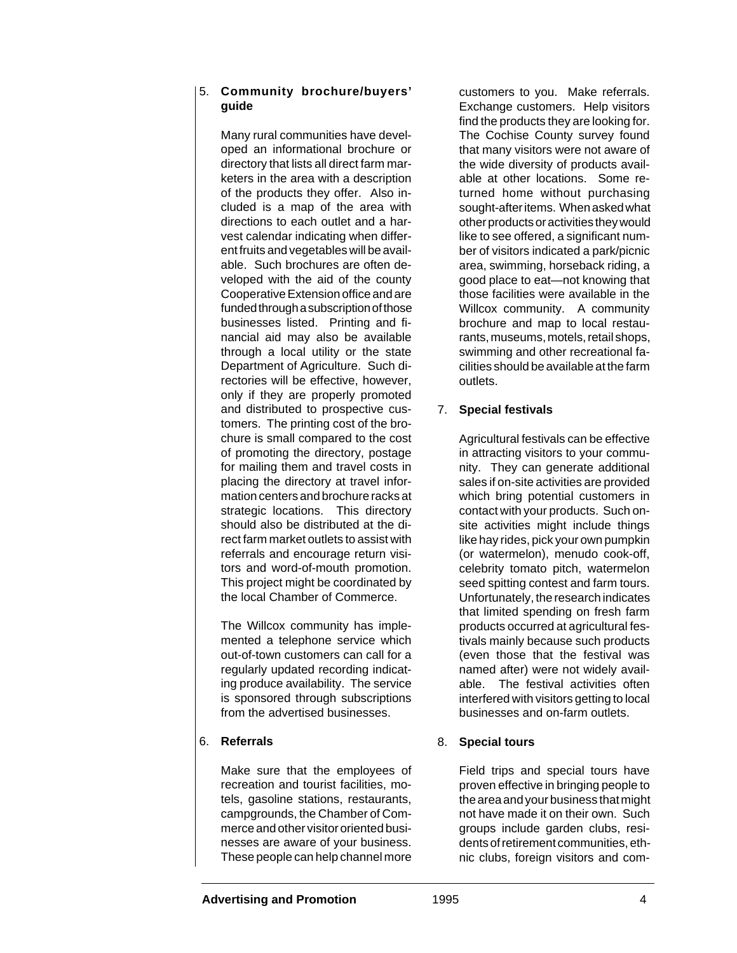### 5. **Community brochure/buyers' guide**

Many rural communities have developed an informational brochure or directory that lists all direct farm marketers in the area with a description of the products they offer. Also included is a map of the area with directions to each outlet and a harvest calendar indicating when different fruits and vegetables will be available. Such brochures are often developed with the aid of the county Cooperative Extension office and are funded through a subscription of those businesses listed. Printing and financial aid may also be available through a local utility or the state Department of Agriculture. Such directories will be effective, however, only if they are properly promoted and distributed to prospective customers. The printing cost of the brochure is small compared to the cost of promoting the directory, postage for mailing them and travel costs in placing the directory at travel information centers and brochure racks at strategic locations. This directory should also be distributed at the direct farm market outlets to assist with referrals and encourage return visitors and word-of-mouth promotion. This project might be coordinated by the local Chamber of Commerce.

The Willcox community has implemented a telephone service which out-of-town customers can call for a regularly updated recording indicating produce availability. The service is sponsored through subscriptions from the advertised businesses.

# 6. **Referrals**

Make sure that the employees of recreation and tourist facilities, motels, gasoline stations, restaurants, campgrounds, the Chamber of Commerce and other visitor oriented businesses are aware of your business. These people can help channel more

customers to you. Make referrals. Exchange customers. Help visitors find the products they are looking for. The Cochise County survey found that many visitors were not aware of the wide diversity of products available at other locations. Some returned home without purchasing sought-after items. When asked what other products or activities they would like to see offered, a significant number of visitors indicated a park/picnic area, swimming, horseback riding, a good place to eat—not knowing that those facilities were available in the Willcox community. A community brochure and map to local restaurants, museums, motels, retail shops, swimming and other recreational facilities should be available at the farm outlets.

## 7. **Special festivals**

Agricultural festivals can be effective in attracting visitors to your community. They can generate additional sales if on-site activities are provided which bring potential customers in contact with your products. Such onsite activities might include things like hay rides, pick your own pumpkin (or watermelon), menudo cook-off, celebrity tomato pitch, watermelon seed spitting contest and farm tours. Unfortunately, the research indicates that limited spending on fresh farm products occurred at agricultural festivals mainly because such products (even those that the festival was named after) were not widely available. The festival activities often interfered with visitors getting to local businesses and on-farm outlets.

### 8. **Special tours**

Field trips and special tours have proven effective in bringing people to the area and your business that might not have made it on their own. Such groups include garden clubs, residents of retirement communities, ethnic clubs, foreign visitors and com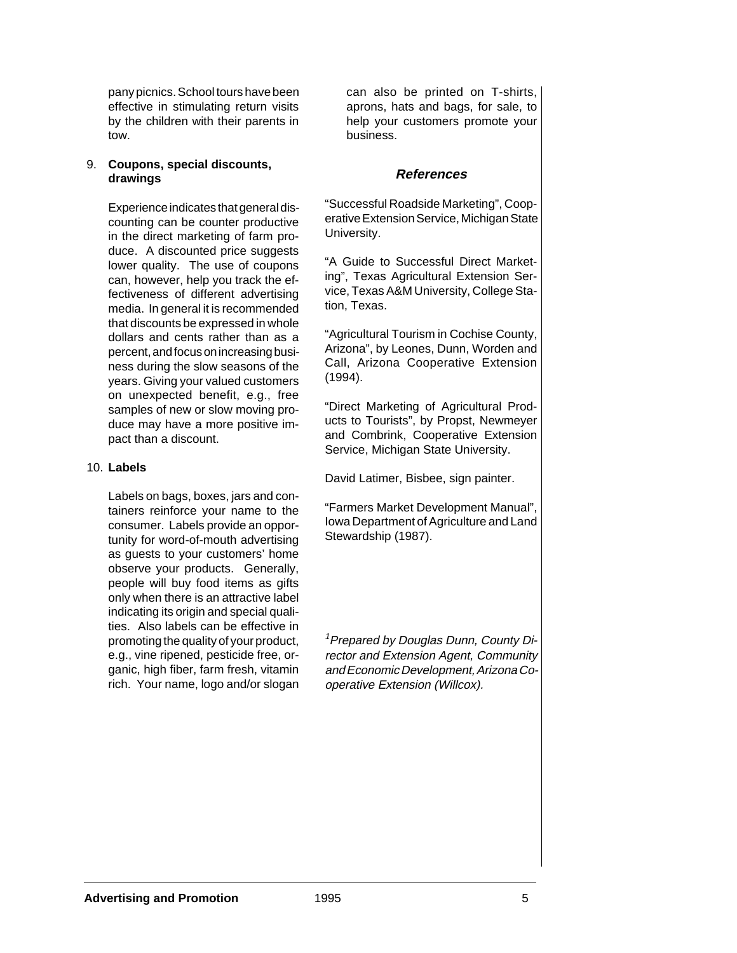pany picnics. School tours have been effective in stimulating return visits by the children with their parents in tow.

#### 9. **Coupons, special discounts, drawings**

Experience indicates that general discounting can be counter productive in the direct marketing of farm produce. A discounted price suggests lower quality. The use of coupons can, however, help you track the effectiveness of different advertising media. In general it is recommended that discounts be expressed in whole dollars and cents rather than as a percent, and focus on increasing business during the slow seasons of the years. Giving your valued customers on unexpected benefit, e.g., free samples of new or slow moving produce may have a more positive impact than a discount.

#### 10. **Labels**

Labels on bags, boxes, jars and containers reinforce your name to the consumer. Labels provide an opportunity for word-of-mouth advertising as guests to your customers' home observe your products. Generally, people will buy food items as gifts only when there is an attractive label indicating its origin and special qualities. Also labels can be effective in promoting the quality of your product, e.g., vine ripened, pesticide free, organic, high fiber, farm fresh, vitamin rich. Your name, logo and/or slogan can also be printed on T-shirts, aprons, hats and bags, for sale, to help your customers promote your business.

### **References**

"Successful Roadside Marketing", Cooperative Extension Service, Michigan State University.

"A Guide to Successful Direct Marketing", Texas Agricultural Extension Service, Texas A&M University, College Station, Texas.

"Agricultural Tourism in Cochise County, Arizona", by Leones, Dunn, Worden and Call, Arizona Cooperative Extension (1994).

"Direct Marketing of Agricultural Products to Tourists", by Propst, Newmeyer and Combrink, Cooperative Extension Service, Michigan State University.

David Latimer, Bisbee, sign painter.

"Farmers Market Development Manual", Iowa Department of Agriculture and Land Stewardship (1987).

<sup>1</sup> Prepared by Douglas Dunn, County Director and Extension Agent, Community and Economic Development, Arizona Cooperative Extension (Willcox).